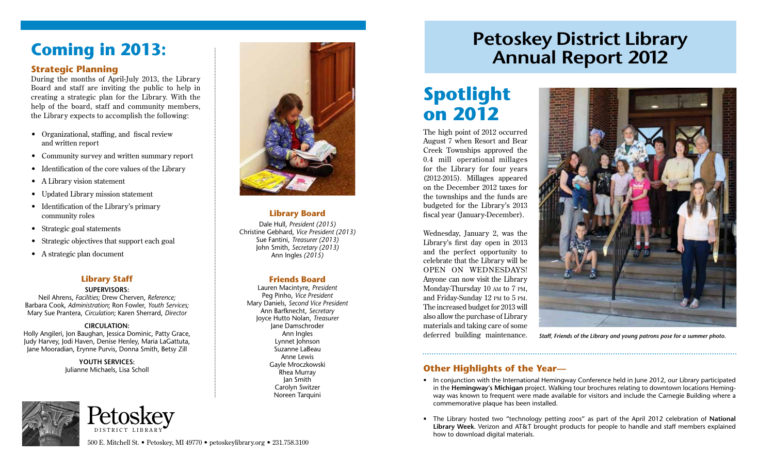# **Coming in 2013:**

### **Strategic Planning**

During the months of April-July 2013, the Library Board and staff are inviting the public to help in creating a strategic plan for the Library. With the help of the board, staff and community members, the Library expects to accomplish the following:

- • Organizational, staffing, and fiscal review and written report
- • Community survey and written summary report
- • Identification of the core values of the Library
- A Library vision statement
- • Updated Library mission statement
- Identification of the Library's primary community roles
- Strategic goal statements
- Strategic objectives that support each goal
- • A strategic plan document

### **Library Staff**

### **SUPERVISORS:**

Neil Ahrens, *Facilities;* Drew Cherven, *Reference;* Barbara Cook, *Administration*; Ron Fowler, *Youth Services;* Mary Sue Prantera, *Circulation;* Karen Sherrard, *Director*

### **CIRCULATION:**

Holly Angileri, Jon Baughan, Jessica Dominic, Patty Grace, Judy Harvey, Jodi Haven, Denise Henley, Maria LaGattuta, Jane Mooradian, Erynne Purvis, Donna Smith, Betsy Zill

**YOUTH SERVICES:** 



| $\left[ \begin{array}{c} 0 \\ 0 \end{array} \right]$ | <b>15k</b> | $X\mathbf{A}$<br>ヽ |  |
|------------------------------------------------------|------------|--------------------|--|
| DISTRICT LIBRARY                                     |            |                    |  |

### **Library Board**

Dale Hull, *President (2015)* Christine Gebhard, *Vice President (2013)* Sue Fantini, *Treasurer (2013)* John Smith, *Secretary (2013)* Ann Ingles *(2015)*

### **Friends Board**

Lauren Macintyre, *President* Peg Pinho, *Vice President* Mary Daniels, *Second Vice President* Ann Barfknecht, *Secretary*  Joyce Hutto Nolan, *Treasurer* Jane Damschroder Ann Ingles Lynnet Johnson Suzanne LaBeau Anne Lewis Gayle Mroczkowski Rhea Murray Jan Smith Carolyn Switzer Noreen Tarquini

# **Petoskey District Library Annual Report 2012**

# **Spotlight on 2012**

The high point of 2012 occurred August 7 when Resort and Bear Creek Townships approved the 0.4 mill operational millages for the Library for four years (2012-2015). Millages appeared on the December 2012 taxes for the townships and the funds are budgeted for the Library's 2013 fiscal year (January-December).

Wednesday, January 2, was the Library's first day open in 2013 and the perfect opportunity to celebrate that the Library will be OPEN ON WEDNESDAYS! Anyone can now visit the Library Monday-Thursday 10 am to 7 pm, and Friday-Sunday 12 pm to 5 pm. The increased budget for 2013 will also allow the purchase of Library materials and taking care of some deferred building maintenance.



*Staff, Friends of the Library and young patrons pose for a summer photo.*

### Julianne Michaels, Lisa Scholl **Other Highlights of the Year—**

- In conjunction with the International Hemingway Conference held in June 2012, our Library participated in the **Hemingway's Michigan** project. Walking tour brochures relating to downtown locations Hemingway was known to frequent were made available for visitors and include the Carnegie Building where a commemorative plaque has been installed.
- • The Library hosted two "technology petting zoos" as part of the April 2012 celebration of **National Library Week**. Verizon and AT&T brought products for people to handle and staff members explained how to download digital materials.

500 E. Mitchell St. • Petoskey, MI 49770 • petoskeylibrary.org • 231.758.3100